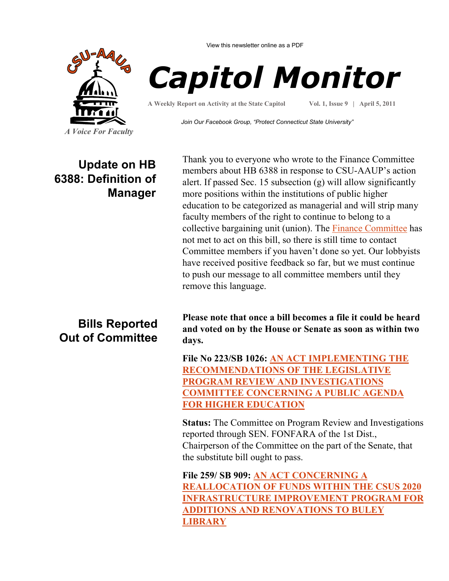View this newsletter online as a PDF



## *Capitol Monitor*

**A Weekly Report on Activity at the State Capitol**

**Vol. 1, Issue 9 | April 5, 2011**

*Join Our Facebook Group, "Protect Connecticut State University"*

## **Update on HB 6388: Definition of Manager**

Thank you to everyone who wrote to the Finance Committee members about HB 6388 in response to CSU-AAUP's action alert. If passed Sec. 15 subsection (g) will allow significantly more positions within the institutions of public higher education to be categorized as managerial and will strip many faculty members of the right to continue to belong to a collective bargaining unit (union). The **Finance Committee** has not met to act on this bill, so there is still time to contact Committee members if you haven't done so yet. Our lobbyists have received positive feedback so far, but we must continue to push our message to all committee members until they remove this language.

## **Bills Reported Out of Committee**

**Please note that once a bill becomes a file it could be heard and voted on by the House or Senate as soon as within two days.**

**File No 223/SB 1026: [AN ACT IMPLEMENTING THE](http://www.cga.ct.gov/2011/FC/2011SB-01026-R000223-FC.htm)  [RECOMMENDATIONS OF THE LEGISLATIVE](http://www.cga.ct.gov/2011/FC/2011SB-01026-R000223-FC.htm)  [PROGRAM REVIEW AND INVESTIGATIONS](http://www.cga.ct.gov/2011/FC/2011SB-01026-R000223-FC.htm)  [COMMITTEE CONCERNING A PUBLIC AGENDA](http://www.cga.ct.gov/2011/FC/2011SB-01026-R000223-FC.htm)  [FOR HIGHER EDUCATION](http://www.cga.ct.gov/2011/FC/2011SB-01026-R000223-FC.htm)**

**Status:** The Committee on Program Review and Investigations reported through SEN. FONFARA of the 1st Dist., Chairperson of the Committee on the part of the Senate, that the substitute bill ought to pass.

**File 259/ SB 909: [AN ACT CONCERNING A](http://www.cga.ct.gov/2011/FC/2011SB-00909-R000259-FC.htm)  [REALLOCATION OF FUNDS WITHIN THE CSUS 2020](http://www.cga.ct.gov/2011/FC/2011SB-00909-R000259-FC.htm)  [INFRASTRUCTURE IMPROVEMENT PROGRAM FOR](http://www.cga.ct.gov/2011/FC/2011SB-00909-R000259-FC.htm)  [ADDITIONS AND RENOVATIONS TO BULEY](http://www.cga.ct.gov/2011/FC/2011SB-00909-R000259-FC.htm)  [LIBRARY](http://www.cga.ct.gov/2011/FC/2011SB-00909-R000259-FC.htm)**